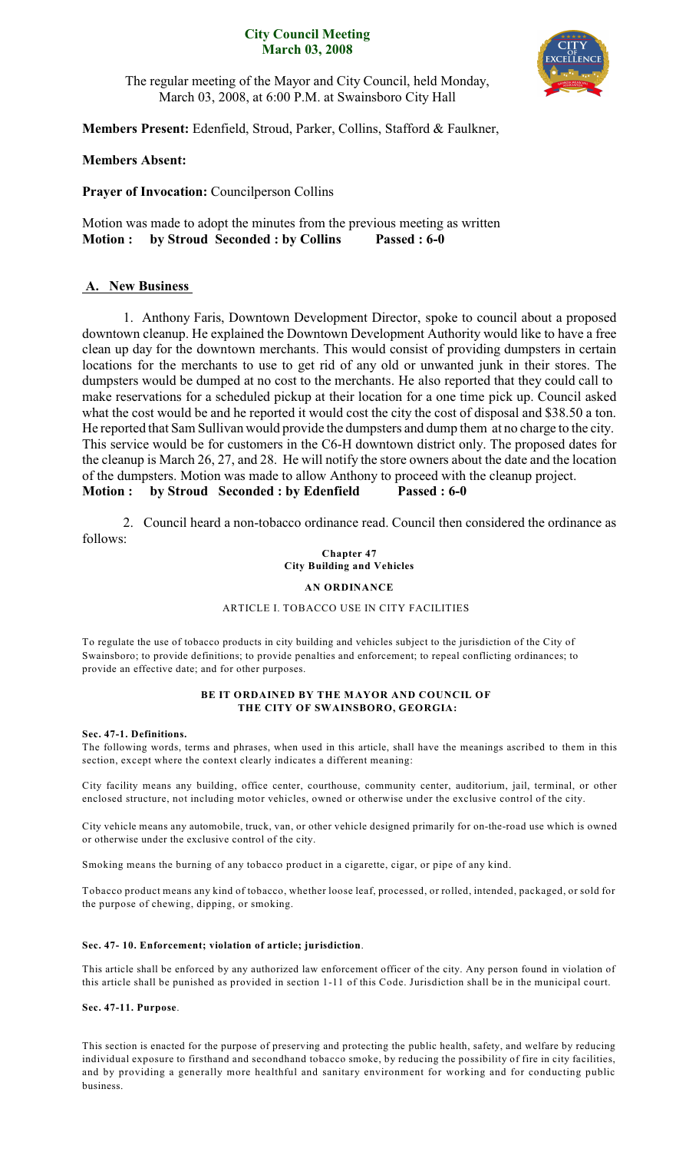### **City Council Meeting March 03, 2008**



The regular meeting of the Mayor and City Council, held Monday, March 03, 2008, at 6:00 P.M. at Swainsboro City Hall

**Members Present:** Edenfield, Stroud, Parker, Collins, Stafford & Faulkner,

## **Members Absent:**

**Prayer of Invocation:** Councilperson Collins

Motion was made to adopt the minutes from the previous meeting as written **Motion : by Stroud Seconded : by Collins Passed : 6-0**

# **A. New Business**

1. Anthony Faris, Downtown Development Director, spoke to council about a proposed downtown cleanup. He explained the Downtown Development Authority would like to have a free clean up day for the downtown merchants. This would consist of providing dumpsters in certain locations for the merchants to use to get rid of any old or unwanted junk in their stores. The dumpsters would be dumped at no cost to the merchants. He also reported that they could call to make reservations for a scheduled pickup at their location for a one time pick up. Council asked what the cost would be and he reported it would cost the city the cost of disposal and \$38.50 a ton. He reported that Sam Sullivan would provide the dumpsters and dump them at no charge to the city. This service would be for customers in the C6-H downtown district only. The proposed dates for the cleanup is March 26, 27, and 28. He will notify the store owners about the date and the location of the dumpsters. Motion was made to allow Anthony to proceed with the cleanup project. **Motion : by Stroud Seconded : by Edenfield Passed : 6-0**

2. Council heard a non-tobacco ordinance read. Council then considered the ordinance as follows:

**Chapter 47 City Building and Vehicles**

### **AN ORDINANCE**

### ARTICLE I. TOBACCO USE IN CITY FACILITIES

To regulate the use of tobacco products in city building and vehicles subject to the jurisdiction of the City of Swainsboro; to provide definitions; to provide penalties and enforcement; to repeal conflicting ordinances; to provide an effective date; and for other purposes.

#### **BE IT ORDAINED BY THE MAYOR AND COUNCIL OF THE CITY OF SWAINSBORO, GEORGIA:**

#### **Sec. 47-1. Definitions.**

The following words, terms and phrases, when used in this article, shall have the meanings ascribed to them in this section, except where the context clearly indicates a different meaning:

City facility means any building, office center, courthouse, community center, auditorium, jail, terminal, or other enclosed structure, not including motor vehicles, owned or otherwise under the exclusive control of the city.

City vehicle means any automobile, truck, van, or other vehicle designed primarily for on-the-road use which is owned or otherwise under the exclusive control of the city.

Smoking means the burning of any tobacco product in a cigarette, cigar, or pipe of any kind.

Tobacco product means any kind of tobacco, whether loose leaf, processed, or rolled, intended, packaged, or sold for the purpose of chewing, dipping, or smoking.

#### **Sec. 47- 10. Enforcement; violation of article; jurisdiction**.

This article shall be enforced by any authorized law enforcement officer of the city. Any person found in violation of this article shall be punished as provided in section 1-11 of this Code. Jurisdiction shall be in the municipal court.

#### **Sec. 47-11. Purpose**.

This section is enacted for the purpose of preserving and protecting the public health, safety, and welfare by reducing individual exposure to firsthand and secondhand tobacco smoke, by reducing the possibility of fire in city facilities, and by providing a generally more healthful and sanitary environment for working and for conducting public business.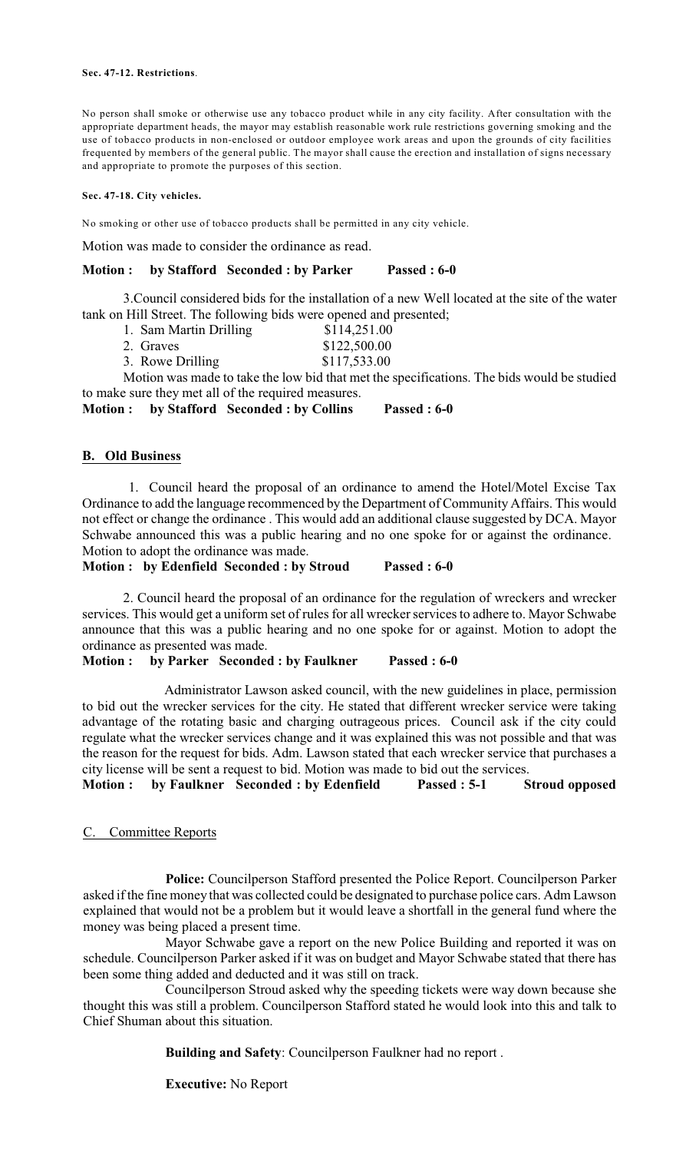#### **Sec. 47-12. Restrictions**.

No person shall smoke or otherwise use any tobacco product while in any city facility. After consultation with the appropriate department heads, the mayor may establish reasonable work rule restrictions governing smoking and the use of tobacco products in non-enclosed or outdoor employee work areas and upon the grounds of city facilities frequented by members of the general public. The mayor shall cause the erection and installation of signs necessary and appropriate to promote the purposes of this section.

### **Sec. 47-18. City vehicles.**

No smoking or other use of tobacco products shall be permitted in any city vehicle.

Motion was made to consider the ordinance as read.

### **Motion : by Stafford Seconded : by Parker Passed : 6-0**

3.Council considered bids for the installation of a new Well located at the site of the water tank on Hill Street. The following bids were opened and presented;

- 1. Sam Martin Drilling \$114,251.00
- 2. Graves \$122,500.00
- 3. Rowe Drilling \$117,533.00

Motion was made to take the low bid that met the specifications. The bids would be studied to make sure they met all of the required measures.

**Motion : by Stafford Seconded : by Collins Passed : 6-0**

## **B. Old Business**

1. Council heard the proposal of an ordinance to amend the Hotel/Motel Excise Tax Ordinance to add the language recommenced by the Department of Community Affairs. This would not effect or change the ordinance . This would add an additional clause suggested by DCA. Mayor Schwabe announced this was a public hearing and no one spoke for or against the ordinance. Motion to adopt the ordinance was made.

**Motion : by Edenfield Seconded : by Stroud Passed : 6-0**

2. Council heard the proposal of an ordinance for the regulation of wreckers and wrecker services. This would get a uniform set of rules for all wrecker services to adhere to. Mayor Schwabe announce that this was a public hearing and no one spoke for or against. Motion to adopt the ordinance as presented was made.

**Motion : by Parker Seconded : by Faulkner Passed : 6-0**

Administrator Lawson asked council, with the new guidelines in place, permission to bid out the wrecker services for the city. He stated that different wrecker service were taking advantage of the rotating basic and charging outrageous prices. Council ask if the city could regulate what the wrecker services change and it was explained this was not possible and that was the reason for the request for bids. Adm. Lawson stated that each wrecker service that purchases a city license will be sent a request to bid. Motion was made to bid out the services.

**Motion : by Faulkner Seconded : by Edenfield Passed : 5-1 Stroud opposed**

## C. Committee Reports

**Police:** Councilperson Stafford presented the Police Report. Councilperson Parker asked if the fine money that was collected could be designated to purchase police cars. Adm Lawson explained that would not be a problem but it would leave a shortfall in the general fund where the money was being placed a present time.

Mayor Schwabe gave a report on the new Police Building and reported it was on schedule. Councilperson Parker asked if it was on budget and Mayor Schwabe stated that there has been some thing added and deducted and it was still on track.

Councilperson Stroud asked why the speeding tickets were way down because she thought this was still a problem. Councilperson Stafford stated he would look into this and talk to Chief Shuman about this situation.

**Building and Safety**: Councilperson Faulkner had no report .

**Executive:** No Report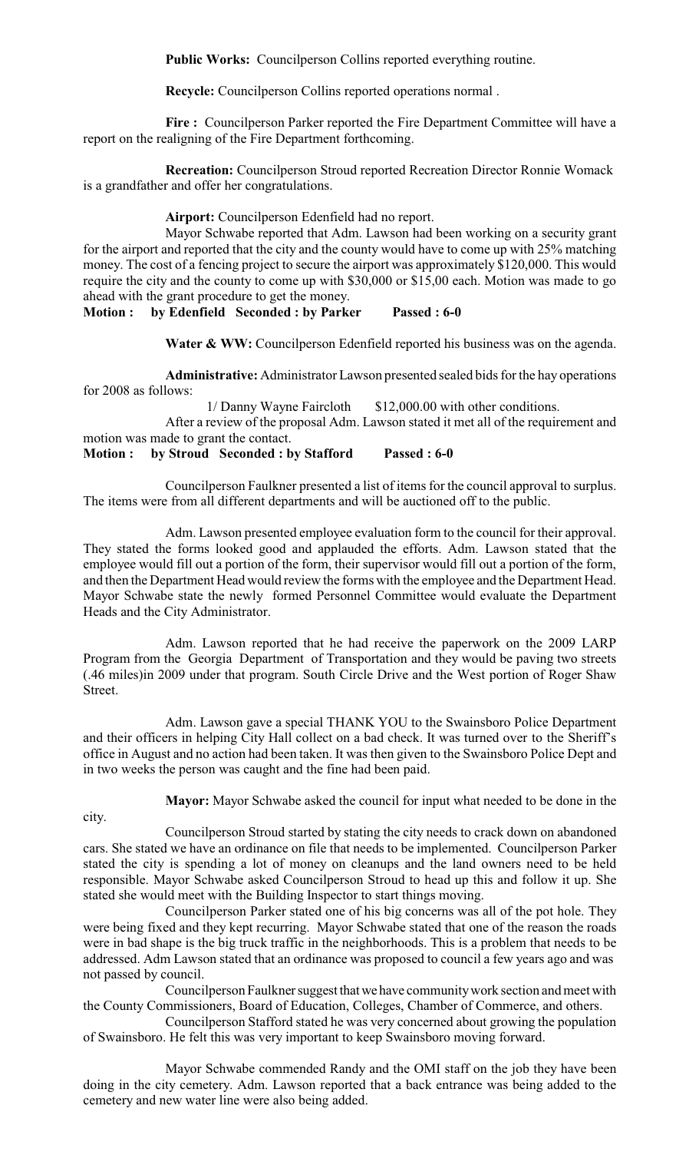**Public Works:** Councilperson Collins reported everything routine.

**Recycle:** Councilperson Collins reported operations normal .

Fire : Councilperson Parker reported the Fire Department Committee will have a report on the realigning of the Fire Department forthcoming.

**Recreation:** Councilperson Stroud reported Recreation Director Ronnie Womack is a grandfather and offer her congratulations.

**Airport:** Councilperson Edenfield had no report.

Mayor Schwabe reported that Adm. Lawson had been working on a security grant for the airport and reported that the city and the county would have to come up with 25% matching money. The cost of a fencing project to secure the airport was approximately \$120,000. This would require the city and the county to come up with \$30,000 or \$15,00 each. Motion was made to go ahead with the grant procedure to get the money.

**Motion : by Edenfield Seconded : by Parker Passed : 6-0**

Water & WW: Councilperson Edenfield reported his business was on the agenda.

**Administrative:** Administrator Lawson presented sealed bids for the hay operations for 2008 as follows:

1/ Danny Wayne Faircloth \$12,000.00 with other conditions.

After a review of the proposal Adm. Lawson stated it met all of the requirement and motion was made to grant the contact.

## **Motion : by Stroud Seconded : by Stafford Passed : 6-0**

Councilperson Faulkner presented a list of items for the council approval to surplus. The items were from all different departments and will be auctioned off to the public.

Adm. Lawson presented employee evaluation form to the council for their approval. They stated the forms looked good and applauded the efforts. Adm. Lawson stated that the employee would fill out a portion of the form, their supervisor would fill out a portion of the form, and then the Department Head would review the forms with the employee and the Department Head. Mayor Schwabe state the newly formed Personnel Committee would evaluate the Department Heads and the City Administrator.

Adm. Lawson reported that he had receive the paperwork on the 2009 LARP Program from the Georgia Department of Transportation and they would be paving two streets (.46 miles)in 2009 under that program. South Circle Drive and the West portion of Roger Shaw Street.

Adm. Lawson gave a special THANK YOU to the Swainsboro Police Department and their officers in helping City Hall collect on a bad check. It was turned over to the Sheriff's office in August and no action had been taken. It was then given to the Swainsboro Police Dept and in two weeks the person was caught and the fine had been paid.

city.

**Mayor:** Mayor Schwabe asked the council for input what needed to be done in the

Councilperson Stroud started by stating the city needs to crack down on abandoned cars. She stated we have an ordinance on file that needs to be implemented. Councilperson Parker stated the city is spending a lot of money on cleanups and the land owners need to be held responsible. Mayor Schwabe asked Councilperson Stroud to head up this and follow it up. She stated she would meet with the Building Inspector to start things moving.

Councilperson Parker stated one of his big concerns was all of the pot hole. They were being fixed and they kept recurring. Mayor Schwabe stated that one of the reason the roads were in bad shape is the big truck traffic in the neighborhoods. This is a problem that needs to be addressed. Adm Lawson stated that an ordinance was proposed to council a few years ago and was not passed by council.

Councilperson Faulkner suggest that we have community work section and meet with the County Commissioners, Board of Education, Colleges, Chamber of Commerce, and others.

Councilperson Stafford stated he was very concerned about growing the population of Swainsboro. He felt this was very important to keep Swainsboro moving forward.

Mayor Schwabe commended Randy and the OMI staff on the job they have been doing in the city cemetery. Adm. Lawson reported that a back entrance was being added to the cemetery and new water line were also being added.